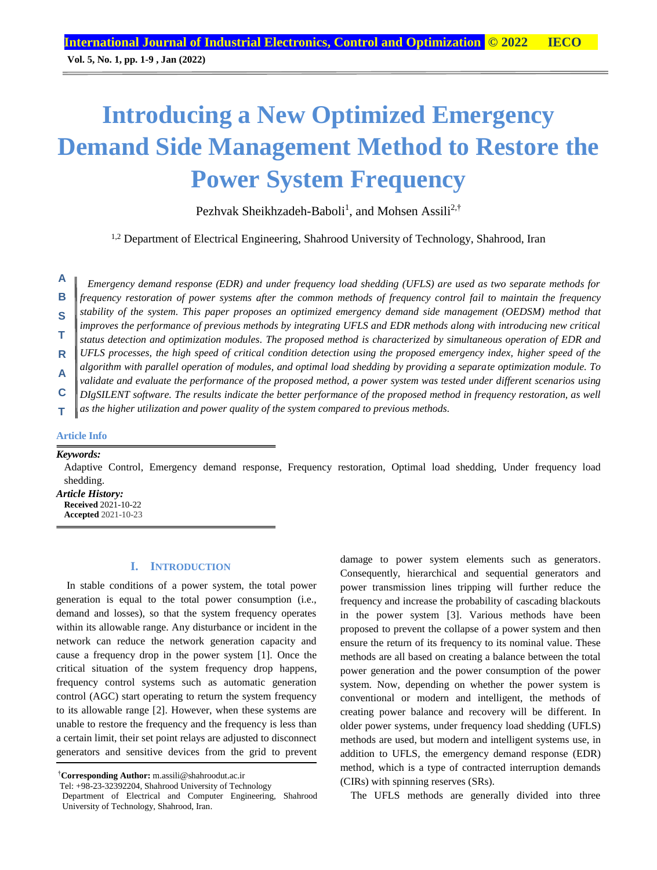**Vol. 5, No. 1, pp. 1-9 , Jan (2022)**

# **Introducing a New Optimized Emergency Demand Side Management Method to Restore the Power System Frequency**

Pezhvak Sheikhzadeh-Baboli<sup>1</sup>, and Mohsen Assili<sup>2,†</sup>

<sup>1,2</sup> Department of Electrical Engineering, Shahrood University of Technology, Shahrood, Iran

*Emergency demand response (EDR) and under frequency load shedding (UFLS) are used as two separate methods for frequency restoration of power systems after the common methods of frequency control fail to maintain the frequency stability of the system. This paper proposes an optimized emergency demand side management (OEDSM) method that improves the performance of previous methods by integrating UFLS and EDR methods along with introducing new critical status detection and optimization modules. The proposed method is characterized by simultaneous operation of EDR and UFLS processes, the high speed of critical condition detection using the proposed emergency index, higher speed of the algorithm with parallel operation of modules, and optimal load shedding by providing a separate optimization module. To validate and evaluate the performance of the proposed method, a power system was tested under different scenarios using DIgSILENT software. The results indicate the better performance of the proposed method in frequency restoration, as well*  **A B S T R A C**

*as the higher utilization and power quality of the system compared to previous methods.* **T**

## **Article Info**

#### *Keywords:*

Adaptive Control, Emergency demand response, Frequency restoration, Optimal load shedding, Under frequency load shedding.

*Article History:* **Received** 2021-10-22 **Accepted** 2021-10-23

## **I. INTRODUCTION**

In stable conditions of a power system, the total power generation is equal to the total power consumption (i.e., demand and losses), so that the system frequency operates within its allowable range. Any disturbance or incident in the network can reduce the network generation capacity and cause a frequency drop in the power system [1]. Once the critical situation of the system frequency drop happens, frequency control systems such as automatic generation control (AGC) start operating to return the system frequency to its allowable range [2]. However, when these systems are unable to restore the frequency and the frequency is less than a certain limit, their set point relays are adjusted to disconnect generators and sensitive devices from the grid to prevent

†**Corresponding Author:** m.assili@shahroodut.ac.ir

damage to power system elements such as generators. Consequently, hierarchical and sequential generators and power transmission lines tripping will further reduce the frequency and increase the probability of cascading blackouts in the power system [3]. Various methods have been proposed to prevent the collapse of a power system and then ensure the return of its frequency to its nominal value. These methods are all based on creating a balance between the total power generation and the power consumption of the power system. Now, depending on whether the power system is conventional or modern and intelligent, the methods of creating power balance and recovery will be different. In older power systems, under frequency load shedding (UFLS) methods are used, but modern and intelligent systems use, in addition to UFLS, the emergency demand response (EDR) method, which is a type of contracted interruption demands (CIRs) with spinning reserves (SRs).

The UFLS methods are generally divided into three

Tel: +98-23-32392204, Shahrood University of Technology

Department of Electrical and Computer Engineering, Shahrood University of Technology, Shahrood, Iran.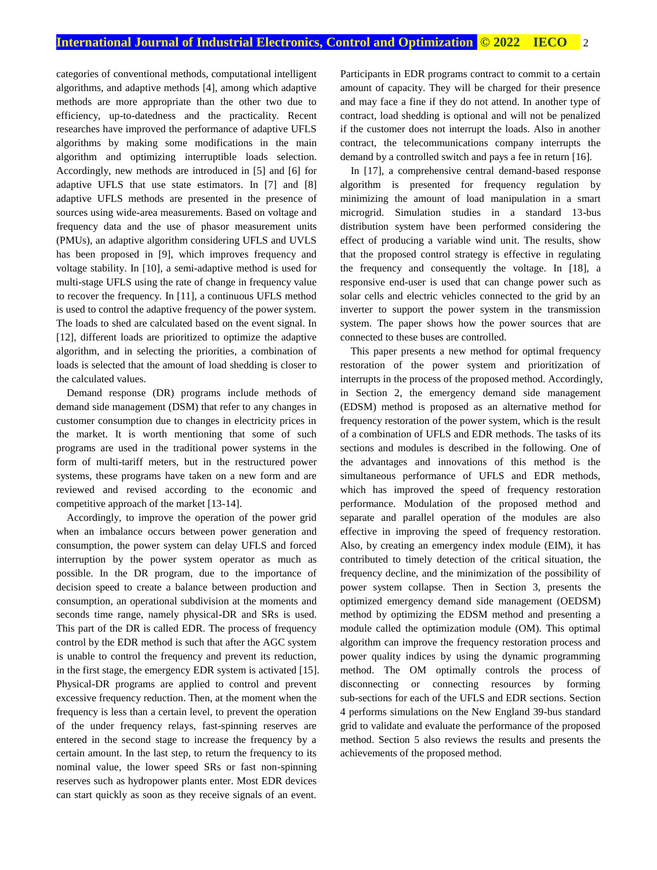categories of conventional methods, computational intelligent algorithms, and adaptive methods [4], among which adaptive methods are more appropriate than the other two due to efficiency, up-to-datedness and the practicality. Recent researches have improved the performance of adaptive UFLS algorithms by making some modifications in the main algorithm and optimizing interruptible loads selection. Accordingly, new methods are introduced in [5] and [6] for adaptive UFLS that use state estimators. In [7] and [8] adaptive UFLS methods are presented in the presence of sources using wide-area measurements. Based on voltage and frequency data and the use of phasor measurement units (PMUs), an adaptive algorithm considering UFLS and UVLS has been proposed in [9], which improves frequency and voltage stability. In [10], a semi-adaptive method is used for multi-stage UFLS using the rate of change in frequency value to recover the frequency. In [11], a continuous UFLS method is used to control the adaptive frequency of the power system. The loads to shed are calculated based on the event signal. In [12], different loads are prioritized to optimize the adaptive algorithm, and in selecting the priorities, a combination of loads is selected that the amount of load shedding is closer to the calculated values.

Demand response (DR) programs include methods of demand side management (DSM) that refer to any changes in customer consumption due to changes in electricity prices in the market. It is worth mentioning that some of such programs are used in the traditional power systems in the form of multi-tariff meters, but in the restructured power systems, these programs have taken on a new form and are reviewed and revised according to the economic and competitive approach of the market [13-14].

Accordingly, to improve the operation of the power grid when an imbalance occurs between power generation and consumption, the power system can delay UFLS and forced interruption by the power system operator as much as possible. In the DR program, due to the importance of decision speed to create a balance between production and consumption, an operational subdivision at the moments and seconds time range, namely physical-DR and SRs is used. This part of the DR is called EDR. The process of frequency control by the EDR method is such that after the AGC system is unable to control the frequency and prevent its reduction, in the first stage, the emergency EDR system is activated [15]. Physical-DR programs are applied to control and prevent excessive frequency reduction. Then, at the moment when the frequency is less than a certain level, to prevent the operation of the under frequency relays, fast-spinning reserves are entered in the second stage to increase the frequency by a certain amount. In the last step, to return the frequency to its nominal value, the lower speed SRs or fast non-spinning reserves such as hydropower plants enter. Most EDR devices can start quickly as soon as they receive signals of an event.

Participants in EDR programs contract to commit to a certain amount of capacity. They will be charged for their presence and may face a fine if they do not attend. In another type of contract, load shedding is optional and will not be penalized if the customer does not interrupt the loads. Also in another contract, the telecommunications company interrupts the demand by a controlled switch and pays a fee in return [16].

In [17], a comprehensive central demand-based response algorithm is presented for frequency regulation by minimizing the amount of load manipulation in a smart microgrid. Simulation studies in a standard 13-bus distribution system have been performed considering the effect of producing a variable wind unit. The results, show that the proposed control strategy is effective in regulating the frequency and consequently the voltage. In [18], a responsive end-user is used that can change power such as solar cells and electric vehicles connected to the grid by an inverter to support the power system in the transmission system. The paper shows how the power sources that are connected to these buses are controlled.

This paper presents a new method for optimal frequency restoration of the power system and prioritization of interrupts in the process of the proposed method. Accordingly, in Section 2, the emergency demand side management (EDSM) method is proposed as an alternative method for frequency restoration of the power system, which is the result of a combination of UFLS and EDR methods. The tasks of its sections and modules is described in the following. One of the advantages and innovations of this method is the simultaneous performance of UFLS and EDR methods, which has improved the speed of frequency restoration performance. Modulation of the proposed method and separate and parallel operation of the modules are also effective in improving the speed of frequency restoration. Also, by creating an emergency index module (EIM), it has contributed to timely detection of the critical situation, the frequency decline, and the minimization of the possibility of power system collapse. Then in Section 3, presents the optimized emergency demand side management (OEDSM) method by optimizing the EDSM method and presenting a module called the optimization module (OM). This optimal algorithm can improve the frequency restoration process and power quality indices by using the dynamic programming method. The OM optimally controls the process of disconnecting or connecting resources by forming sub-sections for each of the UFLS and EDR sections. Section 4 performs simulations on the New England 39-bus standard grid to validate and evaluate the performance of the proposed method. Section 5 also reviews the results and presents the achievements of the proposed method.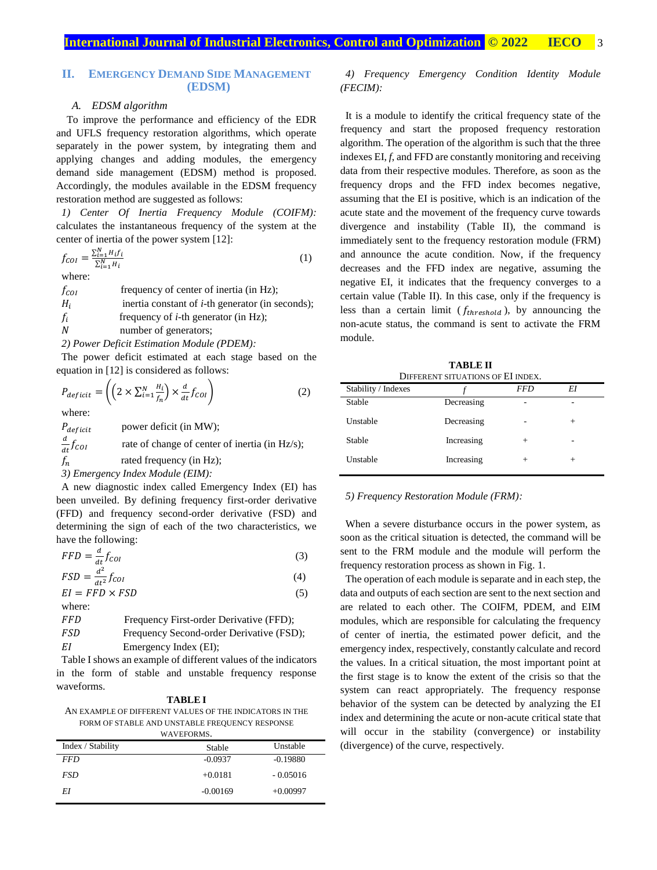## **II. EMERGENCY DEMAND SIDE MANAGEMENT (EDSM)**

## *A. EDSM algorithm*

To improve the performance and efficiency of the EDR and UFLS frequency restoration algorithms, which operate separately in the power system, by integrating them and applying changes and adding modules, the emergency demand side management (EDSM) method is proposed. Accordingly, the modules available in the EDSM frequency restoration method are suggested as follows:

*1) Center Of Inertia Frequency Module (COIFM):* calculates the instantaneous frequency of the system at the center of inertia of the power system [12]:

$$
f_{COI} = \frac{\sum_{i=1}^{N} H_i f_i}{\sum_{i=1}^{N} H_i}
$$
 (1)

where:

 $f_{\text{col}}$  frequency of center of inertia (in Hz);  $H_i$  inertia constant of *i*-th generator (in seconds);  $f_i$  frequency of *i*-th generator (in Hz); number of generators; *2) Power Deficit Estimation Module (PDEM):*

The power deficit estimated at each stage based on the equation in [12] is considered as follows:

$$
P_{deficit} = \left( \left( 2 \times \sum_{i=1}^{N} \frac{H_i}{f_n} \right) \times \frac{d}{dt} f_{COI} \right) \tag{2}
$$

where:

 $P_{deficit}$  power deficit (in MW);  $\boldsymbol{d}$  $_{dt}$  rate of change of center of inertia (in Hz/s);  $f_n$  rated frequency (in Hz); *3) Emergency Index Module (EIM):*

A new diagnostic index called Emergency Index (EI) has been unveiled. By defining frequency first-order derivative (FFD) and frequency second-order derivative (FSD) and determining the sign of each of the two characteristics, we have the following:

$$
FFD = \frac{d}{dt}f_{COI} \tag{3}
$$

$$
FSD = \frac{d^2}{dt^2} f_{COI} \tag{4}
$$

 $EI = FFD \times FSD$  (5) where:

| FFD | Frequency First-order Derivative (FFD);  |
|-----|------------------------------------------|
| FSD | Frequency Second-order Derivative (FSD); |
| ΕI  | Emergency Index (EI);                    |

Table I shows an example of different values of the indicators in the form of stable and unstable frequency response waveforms.

AN EXAMPLE OF DIFFERENT VALUES OF THE INDICATORS IN THE FORM OF STABLE AND UNSTABLE FREQUENCY RESPONSE

| WAVEFORMS.        |            |            |  |
|-------------------|------------|------------|--|
| Index / Stability | Stable     | Unstable   |  |
| <i>FFD</i>        | $-0.0937$  | $-0.19880$ |  |
| <i>FSD</i>        | $+0.0181$  | $-0.05016$ |  |
| ΕI                | $-0.00169$ | $+0.00997$ |  |
|                   |            |            |  |

#### *4) Frequency Emergency Condition Identity Module (FECIM):*

It is a module to identify the critical frequency state of the frequency and start the proposed frequency restoration algorithm. The operation of the algorithm is such that the three indexes EI, *f*, and FFD are constantly monitoring and receiving data from their respective modules. Therefore, as soon as the frequency drops and the FFD index becomes negative, assuming that the EI is positive, which is an indication of the acute state and the movement of the frequency curve towards divergence and instability (Table II), the command is immediately sent to the frequency restoration module (FRM) and announce the acute condition. Now, if the frequency decreases and the FFD index are negative, assuming the negative EI, it indicates that the frequency converges to a certain value (Table II). In this case, only if the frequency is less than a certain limit  $(f_{threshold})$ , by announcing the non-acute status, the command is sent to activate the FRM module.

**TABLE II** DIFFERENT SITUATIONS OF EI INDEX.

| DIFFENENT SHUATIONS OF LITTLEA. |            |        |  |
|---------------------------------|------------|--------|--|
|                                 | <b>FFD</b> | ΕI     |  |
| Decreasing                      | ۰          |        |  |
| Decreasing                      | ۰          | $^{+}$ |  |
| Increasing                      | $\pm$      | -      |  |
| Increasing                      | $^{+}$     | $^{+}$ |  |
|                                 |            |        |  |

*5) Frequency Restoration Module (FRM):*

When a severe disturbance occurs in the power system, as soon as the critical situation is detected, the command will be sent to the FRM module and the module will perform the frequency restoration process as shown in Fig. 1.

The operation of each module is separate and in each step, the data and outputs of each section are sent to the next section and are related to each other. The COIFM, PDEM, and EIM modules, which are responsible for calculating the frequency of center of inertia, the estimated power deficit, and the emergency index, respectively, constantly calculate and record the values. In a critical situation, the most important point at the first stage is to know the extent of the crisis so that the system can react appropriately. The frequency response behavior of the system can be detected by analyzing the EI index and determining the acute or non-acute critical state that will occur in the stability (convergence) or instability (divergence) of the curve, respectively.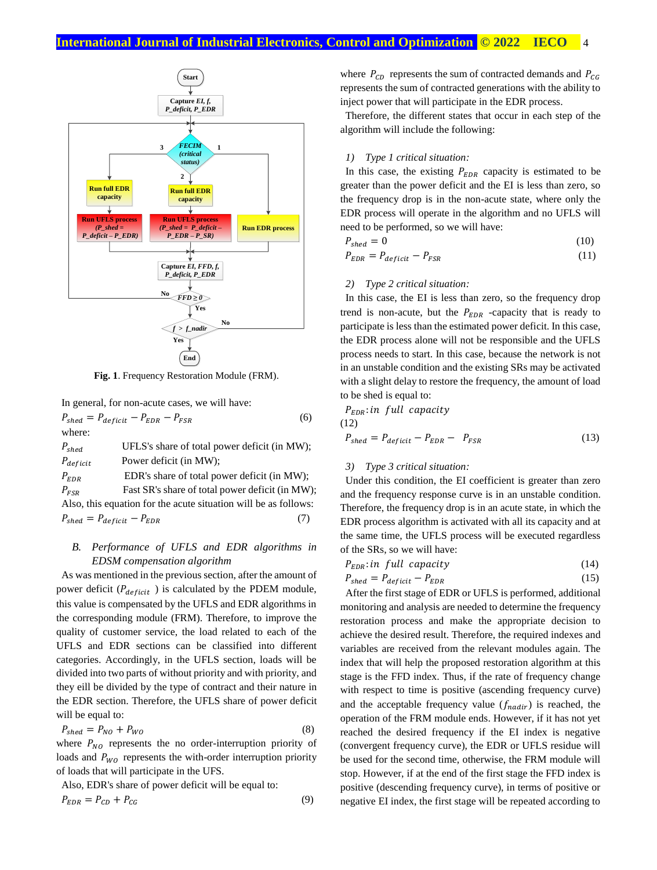

**Fig. 1**. Frequency Restoration Module (FRM).

In general, for non-acute cases, we will have:

 $P_{shed} = P_{deficit} - P_{EDR} - P_{FSR}$  (6) where:  $P_{shed}$  UFLS's share of total power deficit (in MW);  $P_{deficit}$  Power deficit (in MW);  $P_{EDR}$  EDR's share of total power deficit (in MW);  $P_{FSR}$  Fast SR's share of total power deficit (in MW); Also, this equation for the acute situation will be as follows:  $P_{shed} = P_{deficit} - P_{EDR}$  (7)

## *B. Performance of UFLS and EDR algorithms in EDSM compensation algorithm*

As was mentioned in the previous section, after the amount of power deficit ( $P_{deficit}$ ) is calculated by the PDEM module, this value is compensated by the UFLS and EDR algorithms in the corresponding module (FRM). Therefore, to improve the quality of customer service, the load related to each of the UFLS and EDR sections can be classified into different categories. Accordingly, in the UFLS section, loads will be divided into two parts of without priority and with priority, and they eill be divided by the type of contract and their nature in the EDR section. Therefore, the UFLS share of power deficit will be equal to:

$$
P_{shed} = P_{NO} + P_{WO} \tag{8}
$$

where  $P_{NO}$  represents the no order-interruption priority of loads and  $P_{WO}$  represents the with-order interruption priority of loads that will participate in the UFS.

Also, EDR's share of power deficit will be equal to:  $P_{EDR} = P_{CD} + P_{CG}$  (9) where  $P_{CD}$  represents the sum of contracted demands and  $P_{CG}$ represents the sum of contracted generations with the ability to inject power that will participate in the EDR process.

Therefore, the different states that occur in each step of the algorithm will include the following:

## *1) Type 1 critical situation:*

In this case, the existing  $P_{EDR}$  capacity is estimated to be greater than the power deficit and the EI is less than zero, so the frequency drop is in the non-acute state, where only the EDR process will operate in the algorithm and no UFLS will need to be performed, so we will have:

$$
P_{\text{shed}} = 0 \tag{10}
$$

$$
P_{EDR} = P_{deficit} - P_{FSR} \tag{11}
$$

#### *2) Type 2 critical situation:*

In this case, the EI is less than zero, so the frequency drop trend is non-acute, but the  $P_{EDR}$  -capacity that is ready to participate is less than the estimated power deficit. In this case, the EDR process alone will not be responsible and the UFLS process needs to start. In this case, because the network is not in an unstable condition and the existing SRs may be activated with a slight delay to restore the frequency, the amount of load to be shed is equal to:

 $P_{EDR}$ : in full capacity

(12)

$$
P_{shed} = P_{deficit} - P_{EDR} - P_{FSR}
$$
\n(13)

#### *3) Type 3 critical situation:*

Under this condition, the EI coefficient is greater than zero and the frequency response curve is in an unstable condition. Therefore, the frequency drop is in an acute state, in which the EDR process algorithm is activated with all its capacity and at the same time, the UFLS process will be executed regardless of the SRs, so we will have:

$$
P_{EDR}: in full capacity \tag{14}
$$

$$
P_{shed} = P_{deficit} - P_{EDR} \tag{15}
$$

After the first stage of EDR or UFLS is performed, additional monitoring and analysis are needed to determine the frequency restoration process and make the appropriate decision to achieve the desired result. Therefore, the required indexes and variables are received from the relevant modules again. The index that will help the proposed restoration algorithm at this stage is the FFD index. Thus, if the rate of frequency change with respect to time is positive (ascending frequency curve) and the acceptable frequency value  $(f_{nadir})$  is reached, the operation of the FRM module ends. However, if it has not yet reached the desired frequency if the EI index is negative (convergent frequency curve), the EDR or UFLS residue will be used for the second time, otherwise, the FRM module will stop. However, if at the end of the first stage the FFD index is positive (descending frequency curve), in terms of positive or negative EI index, the first stage will be repeated according to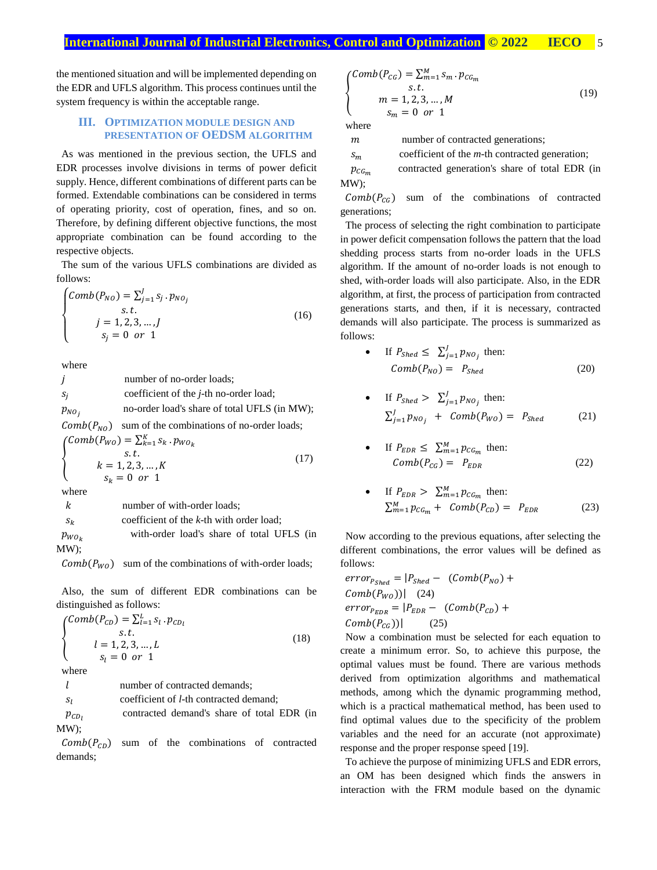the mentioned situation and will be implemented depending on the EDR and UFLS algorithm. This process continues until the system frequency is within the acceptable range.

#### **III. OPTIMIZATION MODULE DESIGN AND PRESENTATION OF OEDSM ALGORITHM**

As was mentioned in the previous section, the UFLS and EDR processes involve divisions in terms of power deficit supply. Hence, different combinations of different parts can be formed. Extendable combinations can be considered in terms of operating priority, cost of operation, fines, and so on. Therefore, by defining different objective functions, the most appropriate combination can be found according to the respective objects.

The sum of the various UFLS combinations are divided as follows:

$$
\begin{cases}\nComb(P_{NO}) = \sum_{j=1}^{J} s_j \cdot p_{NO_j} \\
s.t. \\
j = 1, 2, 3, ..., J \\
s_j = 0 \text{ or } 1\n\end{cases}
$$
\n(16)

where

*j* number of no-order loads;  $S_j$  coefficient of the *j*-th no-order load;  $p_{NO_i}$  no-order load's share of total UFLS (in MW);  $Comb(P_{NO})$  sum of the combinations of no-order loads; {  $Comb(P_{WO}) = \sum_{k=1}^{K} s_k \cdot p_{WO_k}$  $s.t.$  $k = 1, 2, 3, ..., K$  $s_k = 0 \text{ or } 1$  (17) where k number of with-order loads;

 $s_k$  coefficient of the  $k$ -th with order load;

 $p_{WO_k}$  with-order load's share of total UFLS (in MW);

 $Comb(P_{WO})$  sum of the combinations of with-order loads;

Also, the sum of different EDR combinations can be distinguished as follows:

$$
\begin{cases}\nComb(P_{CD}) = \sum_{l=1}^{L} s_l \cdot p_{CD_l} \\
s.t. \\
l = 1, 2, 3, ..., L \\
s_l = 0 \text{ or } 1\n\end{cases}
$$
\n(18)\nwhere\n
$$
\begin{cases}\nl = 1, 2, 3, ..., L \\
l = 0 \text{ or } 1\n\end{cases}
$$
\n(19)\nwhere\n
$$
\begin{cases}\n1 = 1, 2, 3, ..., L \\
l = 0 \text{ or } 1\n\end{cases}
$$
\n(10)\nconverges to 1000, and 11000, respectively.

 $p_{CD}$  contracted demand's share of total EDR (in MW);

 $Comb(P_{CD})$  sum of the combinations of contracted demands;

$$
\begin{cases}\nComb(P_{CG}) = \sum_{m=1}^{M} s_m \cdot p_{CG_m} \\
 s.t. \\
 m = 1, 2, 3, \dots, M \\
 s_m = 0 \quad or \quad 1\n\end{cases}
$$
\n(19)

where

m number of contracted generations;

 $s_m$  coefficient of the *m*-th contracted generation;

 $p_{CG_m}$  contracted generation's share of total EDR (in MW);

 $Comb(P_{CG})$  sum of the combinations of contracted generations;

The process of selecting the right combination to participate in power deficit compensation follows the pattern that the load shedding process starts from no-order loads in the UFLS algorithm. If the amount of no-order loads is not enough to shed, with-order loads will also participate. Also, in the EDR algorithm, at first, the process of participation from contracted generations starts, and then, if it is necessary, contracted demands will also participate. The process is summarized as follows:

• If 
$$
P_{Shed} \leq \sum_{j=1}^{J} p_{NO_j}
$$
 then:  
\n $Comb(P_{NO}) = P_{Shed}$  (20)

• If 
$$
P_{Shed} > \sum_{j=1}^{J} p_{NO_j}
$$
 then:  
\n
$$
\sum_{j=1}^{J} p_{NO_j} + Comb(P_{WO}) = P_{Shed}
$$
\n(21)

• If 
$$
P_{EDR} \le \sum_{m=1}^{M} p_{CG_m}
$$
 then:  
\n $Comb(P_{CG}) = P_{EDR}$  (22)

• If 
$$
P_{EDR} > \sum_{m=1}^{M} p_{CG_m}
$$
 then:  
\n
$$
\sum_{m=1}^{M} p_{CG_m} + Comb(P_{CD}) = P_{EDR}
$$
\n(23)

Now according to the previous equations, after selecting the different combinations, the error values will be defined as follows:

$$
error_{P_{Shed}} = |P_{Shed} - (Comb(P_{NO}) +
$$

$$
Comb(P_{WO}))| (24)
$$

$$
error_{EDR} = |P_{EDR} - (Comb(P_{CD}) +
$$

$$
Comb(P_{CG}))| (25)
$$

Now a combination must be selected for each equation to create a minimum error. So, to achieve this purpose, the optimal values must be found. There are various methods derived from optimization algorithms and mathematical methods, among which the dynamic programming method, which is a practical mathematical method, has been used to find optimal values due to the specificity of the problem variables and the need for an accurate (not approximate) response and the proper response speed [19].

To achieve the purpose of minimizing UFLS and EDR errors, an OM has been designed which finds the answers in interaction with the FRM module based on the dynamic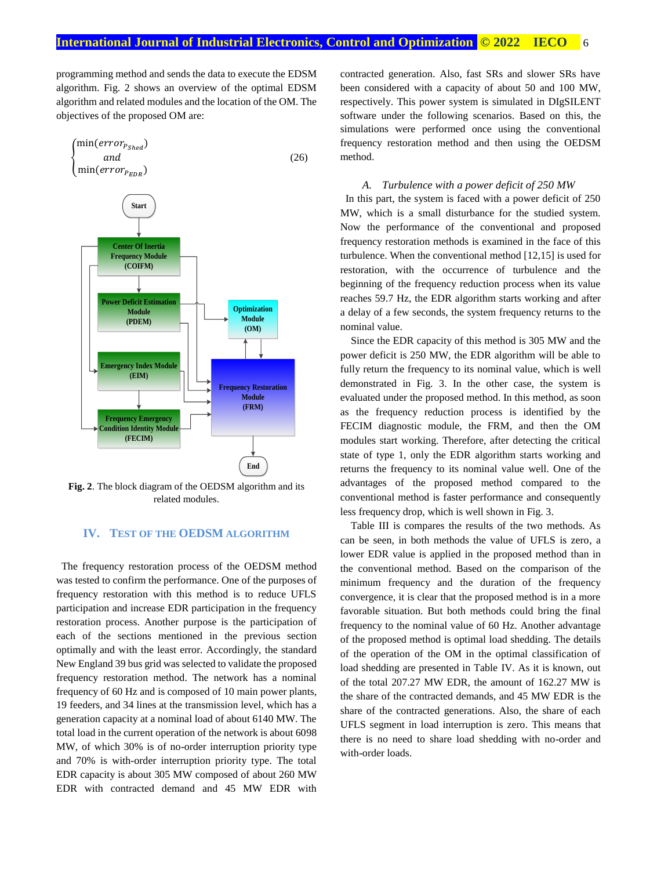programming method and sends the data to execute the EDSM algorithm. Fig. 2 shows an overview of the optimal EDSM algorithm and related modules and the location of the OM. The objectives of the proposed OM are:



**Fig. 2**. The block diagram of the OEDSM algorithm and its related modules.

## **IV. TEST OF THE OEDSM ALGORITHM**

The frequency restoration process of the OEDSM method was tested to confirm the performance. One of the purposes of frequency restoration with this method is to reduce UFLS participation and increase EDR participation in the frequency restoration process. Another purpose is the participation of each of the sections mentioned in the previous section optimally and with the least error. Accordingly, the standard New England 39 bus grid was selected to validate the proposed frequency restoration method. The network has a nominal frequency of 60 Hz and is composed of 10 main power plants, 19 feeders, and 34 lines at the transmission level, which has a generation capacity at a nominal load of about 6140 MW. The total load in the current operation of the network is about 6098 MW, of which 30% is of no-order interruption priority type and 70% is with-order interruption priority type. The total EDR capacity is about 305 MW composed of about 260 MW EDR with contracted demand and 45 MW EDR with

contracted generation. Also, fast SRs and slower SRs have been considered with a capacity of about 50 and 100 MW, respectively. This power system is simulated in DIgSILENT software under the following scenarios. Based on this, the simulations were performed once using the conventional frequency restoration method and then using the OEDSM method.

#### *A. Turbulence with a power deficit of 250 MW*

In this part, the system is faced with a power deficit of 250 MW, which is a small disturbance for the studied system. Now the performance of the conventional and proposed frequency restoration methods is examined in the face of this turbulence. When the conventional method [12,15] is used for restoration, with the occurrence of turbulence and the beginning of the frequency reduction process when its value reaches 59.7 Hz, the EDR algorithm starts working and after a delay of a few seconds, the system frequency returns to the nominal value.

Since the EDR capacity of this method is 305 MW and the power deficit is 250 MW, the EDR algorithm will be able to fully return the frequency to its nominal value, which is well demonstrated in Fig. 3. In the other case, the system is evaluated under the proposed method. In this method, as soon as the frequency reduction process is identified by the FECIM diagnostic module, the FRM, and then the OM modules start working. Therefore, after detecting the critical state of type 1, only the EDR algorithm starts working and returns the frequency to its nominal value well. One of the advantages of the proposed method compared to the conventional method is faster performance and consequently less frequency drop, which is well shown in Fig. 3.

Table III is compares the results of the two methods. As can be seen, in both methods the value of UFLS is zero, a lower EDR value is applied in the proposed method than in the conventional method. Based on the comparison of the minimum frequency and the duration of the frequency convergence, it is clear that the proposed method is in a more favorable situation. But both methods could bring the final frequency to the nominal value of 60 Hz. Another advantage of the proposed method is optimal load shedding. The details of the operation of the OM in the optimal classification of load shedding are presented in Table IV. As it is known, out of the total 207.27 MW EDR, the amount of 162.27 MW is the share of the contracted demands, and 45 MW EDR is the share of the contracted generations. Also, the share of each UFLS segment in load interruption is zero. This means that there is no need to share load shedding with no-order and with-order loads.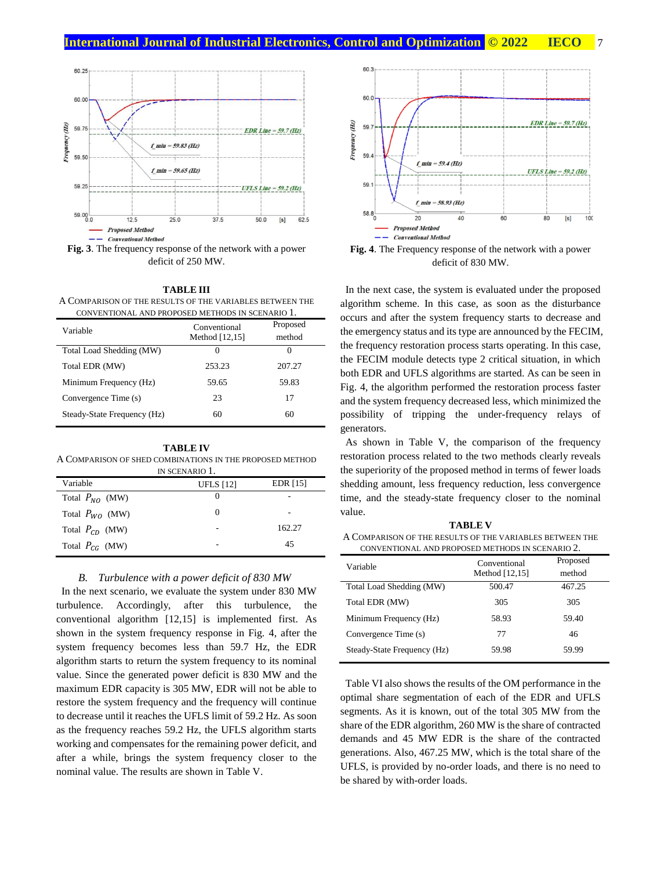

**Fig. 3**. The frequency response of the network with a power deficit of 250 MW.

**TABLE III** A COMPARISON OF THE RESULTS OF THE VARIABLES BETWEEN THE CONVENTIONAL AND PROPOSED METHODS IN SCENARIO 1.

| Variable                    | Conventional   | Proposed |
|-----------------------------|----------------|----------|
|                             | Method [12,15] | method   |
| Total Load Shedding (MW)    | $\mathbf{0}$   | 0        |
| Total EDR (MW)              | 253.23         | 207.27   |
| Minimum Frequency (Hz)      | 59.65          | 59.83    |
| Convergence Time (s)        | 23             | 17       |
| Steady-State Frequency (Hz) | 60             | 60       |

**TABLE IV** A COMPARISON OF SHED COMBINATIONS IN THE PROPOSED METHOD

| IN SCENARIO 1.      |                  |            |  |
|---------------------|------------------|------------|--|
| Variable            | <b>UFLS</b> [12] | EDR $[15]$ |  |
| Total $P_{NO}$ (MW) | $\theta$         |            |  |
| Total $P_{WQ}$ (MW) | $\Omega$         |            |  |
| Total $P_{CD}$ (MW) |                  | 162.27     |  |
| Total $P_{CG}$ (MW) |                  | 45         |  |

#### *B. Turbulence with a power deficit of 830 MW*

In the next scenario, we evaluate the system under 830 MW turbulence. Accordingly, after this turbulence, the conventional algorithm [12,15] is implemented first. As shown in the system frequency response in Fig. 4, after the system frequency becomes less than 59.7 Hz, the EDR algorithm starts to return the system frequency to its nominal value. Since the generated power deficit is 830 MW and the maximum EDR capacity is 305 MW, EDR will not be able to restore the system frequency and the frequency will continue to decrease until it reaches the UFLS limit of 59.2 Hz. As soon as the frequency reaches 59.2 Hz, the UFLS algorithm starts working and compensates for the remaining power deficit, and after a while, brings the system frequency closer to the nominal value. The results are shown in Table V.



**Fig. 4**. The Frequency response of the network with a power deficit of 830 MW.

In the next case, the system is evaluated under the proposed algorithm scheme. In this case, as soon as the disturbance occurs and after the system frequency starts to decrease and the emergency status and its type are announced by the FECIM, the frequency restoration process starts operating. In this case, the FECIM module detects type 2 critical situation, in which both EDR and UFLS algorithms are started. As can be seen in Fig. 4, the algorithm performed the restoration process faster and the system frequency decreased less, which minimized the possibility of tripping the under-frequency relays of generators.

As shown in Table V, the comparison of the frequency restoration process related to the two methods clearly reveals the superiority of the proposed method in terms of fewer loads shedding amount, less frequency reduction, less convergence time, and the steady-state frequency closer to the nominal value.

**TABLE V** A COMPARISON OF THE RESULTS OF THE VARIABLES BETWEEN THE CONVENTIONAL AND PROPOSED METHODS IN SCENARIO 2.

| Variable                    | Conventional<br>Method [12,15] | Proposed<br>method |  |
|-----------------------------|--------------------------------|--------------------|--|
| Total Load Shedding (MW)    | 500.47                         | 467.25             |  |
| Total EDR (MW)              | 305                            | 305                |  |
| Minimum Frequency (Hz)      | 58.93                          | 59.40              |  |
| Convergence Time (s)        | 77                             | 46                 |  |
| Steady-State Frequency (Hz) | 59.98                          | 59.99              |  |

Table VI also shows the results of the OM performance in the optimal share segmentation of each of the EDR and UFLS segments. As it is known, out of the total 305 MW from the share of the EDR algorithm, 260 MW is the share of contracted demands and 45 MW EDR is the share of the contracted generations. Also, 467.25 MW, which is the total share of the UFLS, is provided by no-order loads, and there is no need to be shared by with-order loads.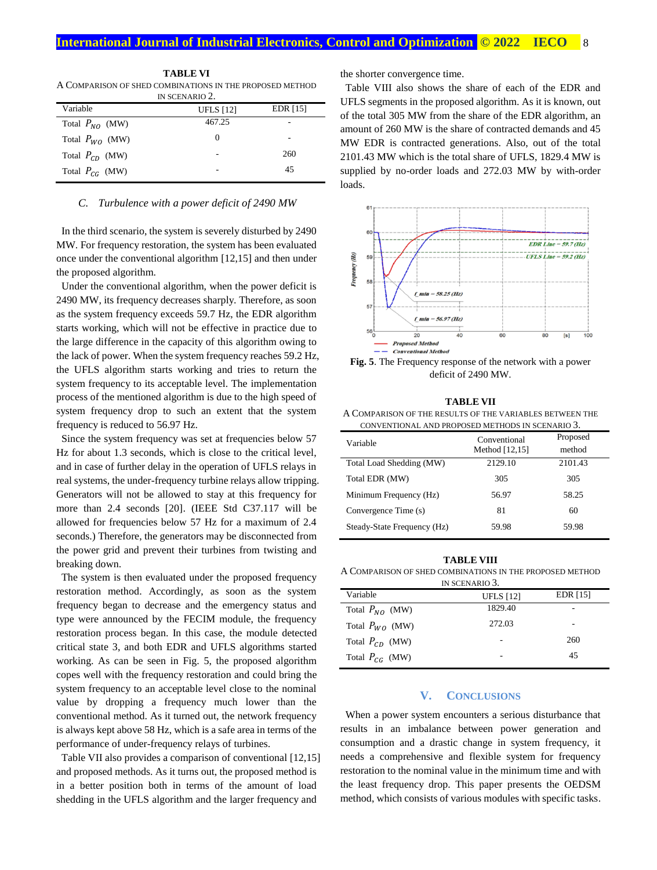| IN SCENARIO 2.      |                  |          |  |
|---------------------|------------------|----------|--|
| Variable            | <b>UFLS</b> [12] | EDR [15] |  |
| Total $P_{NO}$ (MW) | 467.25           |          |  |
| Total $P_{WO}$ (MW) | $\theta$         |          |  |
| Total $P_{CD}$ (MW) |                  | 260      |  |
| Total $P_{CG}$ (MW) |                  | 45       |  |

**TABLE VI** A COMPARISON OF SHED COMBINATIONS IN THE PROPOSED METHOD

#### *C. Turbulence with a power deficit of 2490 MW*

In the third scenario, the system is severely disturbed by 2490 MW. For frequency restoration, the system has been evaluated once under the conventional algorithm [12,15] and then under the proposed algorithm.

Under the conventional algorithm, when the power deficit is 2490 MW, its frequency decreases sharply. Therefore, as soon as the system frequency exceeds 59.7 Hz, the EDR algorithm starts working, which will not be effective in practice due to the large difference in the capacity of this algorithm owing to the lack of power. When the system frequency reaches 59.2 Hz, the UFLS algorithm starts working and tries to return the system frequency to its acceptable level. The implementation process of the mentioned algorithm is due to the high speed of system frequency drop to such an extent that the system frequency is reduced to 56.97 Hz.

Since the system frequency was set at frequencies below 57 Hz for about 1.3 seconds, which is close to the critical level, and in case of further delay in the operation of UFLS relays in real systems, the under-frequency turbine relays allow tripping. Generators will not be allowed to stay at this frequency for more than 2.4 seconds [20]. (IEEE Std C37.117 will be allowed for frequencies below 57 Hz for a maximum of 2.4 seconds.) Therefore, the generators may be disconnected from the power grid and prevent their turbines from twisting and breaking down.

The system is then evaluated under the proposed frequency restoration method. Accordingly, as soon as the system frequency began to decrease and the emergency status and type were announced by the FECIM module, the frequency restoration process began. In this case, the module detected critical state 3, and both EDR and UFLS algorithms started working. As can be seen in Fig. 5, the proposed algorithm copes well with the frequency restoration and could bring the system frequency to an acceptable level close to the nominal value by dropping a frequency much lower than the conventional method. As it turned out, the network frequency is always kept above 58 Hz, which is a safe area in terms of the performance of under-frequency relays of turbines.

Table VII also provides a comparison of conventional [12,15] and proposed methods. As it turns out, the proposed method is in a better position both in terms of the amount of load shedding in the UFLS algorithm and the larger frequency and

the shorter convergence time.

Table VIII also shows the share of each of the EDR and UFLS segments in the proposed algorithm. As it is known, out of the total 305 MW from the share of the EDR algorithm, an amount of 260 MW is the share of contracted demands and 45 MW EDR is contracted generations. Also, out of the total 2101.43 MW which is the total share of UFLS, 1829.4 MW is supplied by no-order loads and 272.03 MW by with-order loads.



**Fig. 5**. The Frequency response of the network with a power deficit of 2490 MW.

| <b>TABLE VII</b>                                         |
|----------------------------------------------------------|
| A COMPARISON OF THE RESULTS OF THE VARIABLES BETWEEN THE |
| CONVENTIONAL AND PROPOSED METHODS IN SCENARIO 3.         |

| Variable                    | Conventional<br>Method [12,15] | Proposed<br>method |
|-----------------------------|--------------------------------|--------------------|
| Total Load Shedding (MW)    | 2129.10                        | 2101.43            |
| Total EDR (MW)              | 305                            | 305                |
| Minimum Frequency (Hz)      | 56.97                          | 58.25              |
| Convergence Time (s)        | 81                             | 60                 |
| Steady-State Frequency (Hz) | 59.98                          | 59.98              |

#### **TABLE VIII**

A COMPARISON OF SHED COMBINATIONS IN THE PROPOSED METHOD

| IN SCENARIO 3.      |                  |                 |  |
|---------------------|------------------|-----------------|--|
| Variable            | <b>UFLS</b> [12] | <b>EDR</b> [15] |  |
| Total $P_{NO}$ (MW) | 1829.40          |                 |  |
| Total $P_{WO}$ (MW) | 272.03           |                 |  |
| Total $P_{CD}$ (MW) |                  | 260             |  |
| Total $P_{CG}$ (MW) |                  | 45              |  |

## **V. CONCLUSIONS**

When a power system encounters a serious disturbance that results in an imbalance between power generation and consumption and a drastic change in system frequency, it needs a comprehensive and flexible system for frequency restoration to the nominal value in the minimum time and with the least frequency drop. This paper presents the OEDSM method, which consists of various modules with specific tasks.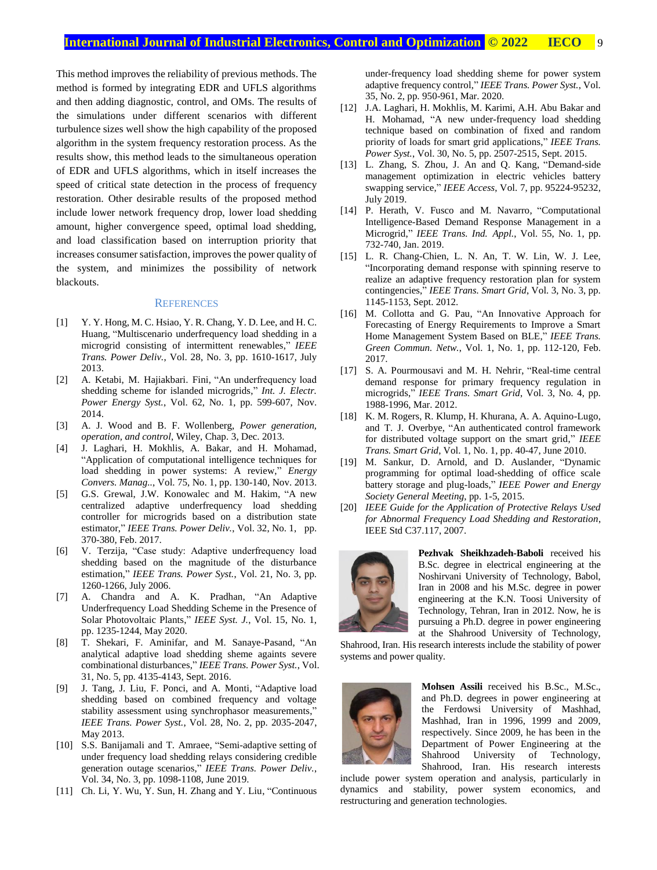This method improves the reliability of previous methods. The method is formed by integrating EDR and UFLS algorithms and then adding diagnostic, control, and OMs. The results of the simulations under different scenarios with different turbulence sizes well show the high capability of the proposed algorithm in the system frequency restoration process. As the results show, this method leads to the simultaneous operation of EDR and UFLS algorithms, which in itself increases the speed of critical state detection in the process of frequency restoration. Other desirable results of the proposed method include lower network frequency drop, lower load shedding amount, higher convergence speed, optimal load shedding, and load classification based on interruption priority that increases consumer satisfaction, improves the power quality of the system, and minimizes the possibility of network blackouts.

#### **REFERENCES**

- [1] Y. Y. Hong, M. C. Hsiao, Y. R. Chang, Y. D. Lee, and H. C. Huang, "Multiscenario underfrequency load shedding in a microgrid consisting of intermittent renewables," *IEEE Trans. Power Deliv.*, Vol. 28, No. 3, pp. 1610-1617, July 2013.
- [2] A. Ketabi, M. Hajiakbari. Fini, "An underfrequency load shedding scheme for islanded microgrids," *Int. J. Electr. Power Energy Syst.*, Vol. 62, No. 1, pp. 599-607, Nov. 2014.
- [3] A. J. Wood and B. F. Wollenberg, *Power generation, operation, and control*, Wiley, Chap. 3, Dec. 2013.
- [4] J. Laghari, H. Mokhlis, A. Bakar, and H. Mohamad, "Application of computational intelligence techniques for load shedding in power systems: A review," *Energy Convers. Manag..*, Vol. 75, No. 1, pp. 130-140, Nov. 2013.
- [5] G.S. Grewal, J.W. Konowalec and M. Hakim, "A new centralized adaptive underfrequency load shedding controller for microgrids based on a distribution state estimator," *IEEE Trans. Power Deliv.*, Vol. 32, No. 1, pp. 370-380, Feb. 2017.
- [6] V. Terzija, "Case study: Adaptive underfrequency load shedding based on the magnitude of the disturbance estimation," *IEEE Trans. Power Syst.*, Vol. 21, No. 3, pp. 1260-1266, July 2006.
- [7] A. Chandra and A. K. Pradhan, "An Adaptive Underfrequency Load Shedding Scheme in the Presence of Solar Photovoltaic Plants," *IEEE Syst. J.*, Vol. 15, No. 1, pp. 1235-1244, May 2020.
- [8] T. Shekari, F. Aminifar, and M. Sanaye-Pasand, "An analytical adaptive load shedding sheme againts severe combinational disturbances," *IEEE Trans. Power Syst.*, Vol. 31, No. 5, pp. 4135-4143, Sept. 2016.
- [9] J. Tang, J. Liu, F. Ponci, and A. Monti, "Adaptive load shedding based on combined frequency and voltage stability assessment using synchrophasor measurements," *IEEE Trans. Power Syst.*, Vol. 28, No. 2, pp. 2035-2047, May 2013.
- [10] S.S. Banijamali and T. Amraee, "Semi-adaptive setting of under frequency load shedding relays considering credible generation outage scenarios," *IEEE Trans. Power Deliv.*, Vol. 34, No. 3, pp. 1098-1108, June 2019.
- [11] Ch. Li, Y. Wu, Y. Sun, H. Zhang and Y. Liu, "Continuous"

under-frequency load shedding sheme for power system adaptive frequency control," *IEEE Trans. Power Syst.*, Vol. 35, No. 2, pp. 950-961, Mar. 2020.

- [12] J.A. Laghari, H. Mokhlis, M. Karimi, A.H. Abu Bakar and H. Mohamad, "A new under-frequency load shedding technique based on combination of fixed and random priority of loads for smart grid applications," *IEEE Trans. Power Syst.*, Vol. 30, No. 5, pp. 2507-2515, Sept. 2015.
- [13] L. Zhang, S. Zhou, J. An and Q. Kang, "Demand-side management optimization in electric vehicles battery swapping service," *IEEE Access*, Vol. 7, pp. 95224-95232, July 2019.
- [14] P. Herath, V. Fusco and M. Navarro, "Computational Intelligence-Based Demand Response Management in a Microgrid," *IEEE Trans. Ind. Appl.*, Vol. 55, No. 1, pp. 732-740, Jan. 2019.
- [15] L. R. Chang-Chien, L. N. An, T. W. Lin, W. J. Lee, "Incorporating demand response with spinning reserve to realize an adaptive frequency restoration plan for system contingencies," *IEEE Trans. Smart Grid*, Vol. 3, No. 3, pp. 1145-1153, Sept. 2012.
- [16] M. Collotta and G. Pau, "An Innovative Approach for Forecasting of Energy Requirements to Improve a Smart Home Management System Based on BLE," *IEEE Trans. Green Commun. Netw.*, Vol. 1, No. 1, pp. 112-120, Feb. 2017.
- [17] S. A. Pourmousavi and M. H. Nehrir, "Real-time central demand response for primary frequency regulation in microgrids," *IEEE Trans. Smart Grid*, Vol. 3, No. 4, pp. 1988-1996, Mar. 2012.
- [18] K. M. Rogers, R. Klump, H. Khurana, A. A. Aquino-Lugo, and T. J. Overbye, "An authenticated control framework for distributed voltage support on the smart grid," *IEEE Trans. Smart Grid*, Vol. 1, No. 1, pp. 40-47, June 2010.
- [19] M. Sankur, D. Arnold, and D. Auslander, "Dynamic programming for optimal load-shedding of office scale battery storage and plug-loads," *IEEE Power and Energy Society General Meeting*, pp. 1-5, 2015.
- [20] *IEEE Guide for the Application of Protective Relays Used for Abnormal Frequency Load Shedding and Restoration*, IEEE Std C37.117, 2007.



**Pezhvak Sheikhzadeh-Baboli** received his B.Sc. degree in electrical engineering at the Noshirvani University of Technology, Babol, Iran in 2008 and his M.Sc. degree in power engineering at the K.N. Toosi University of Technology, Tehran, Iran in 2012. Now, he is pursuing a Ph.D. degree in power engineering at the Shahrood University of Technology,

Shahrood, Iran. His research interests include the stability of power systems and power quality.



**Mohsen Assili** received his B.Sc., M.Sc., and Ph.D. degrees in power engineering at the Ferdowsi University of Mashhad, Mashhad, Iran in 1996, 1999 and 2009, respectively. Since 2009, he has been in the Department of Power Engineering at the Shahrood University of Technology, Shahrood, Iran. His research interests

include power system operation and analysis, particularly in dynamics and stability, power system economics, and restructuring and generation technologies.